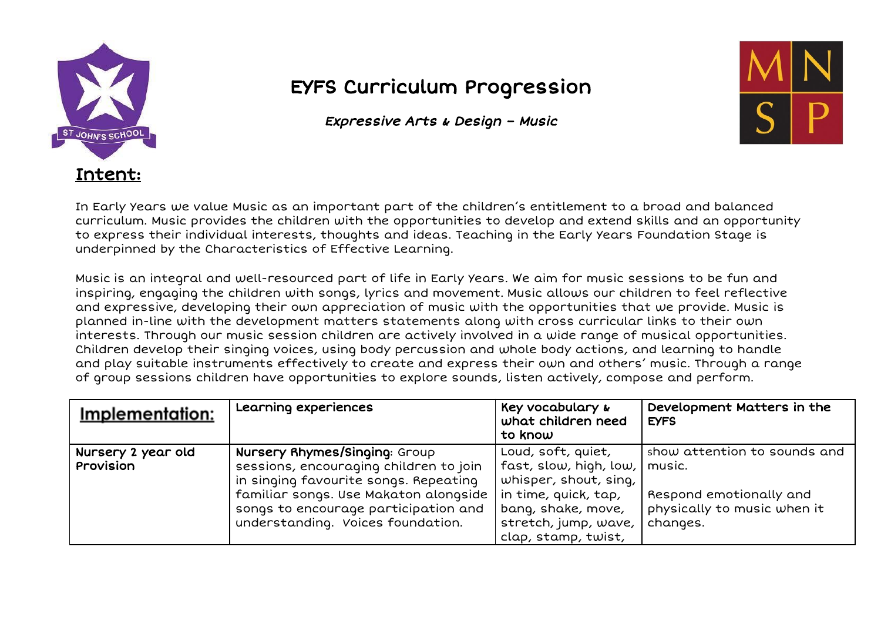

## EYFS Curriculum Progression

Expressive Arts & Design – Music



In Early Years we value Music as an important part of the children's entitlement to a broad and balanced curriculum. Music provides the children with the opportunities to develop and extend skills and an opportunity to express their individual interests, thoughts and ideas. Teaching in the Early Years Foundation Stage is underpinned by the Characteristics of Effective Learning.

Music is an integral and well-resourced part of life in Early Years. We aim for music sessions to be fun and inspiring, engaging the children with songs, lyrics and movement. Music allows our children to feel reflective and expressive, developing their own appreciation of music with the opportunities that we provide. Music is planned in-line with the development matters statements along with cross curricular links to their own interests. Through our music session children are actively involved in a wide range of musical opportunities. Children develop their singing voices, using body percussion and whole body actions, and learning to handle and play suitable instruments effectively to create and express their own and others' music. Through a range of group sessions children have opportunities to explore sounds, listen actively, compose and perform.

| Implementation:                 | Learning experiences                                                                                                                                                                                                                   | Key vocabulary &<br>what children need<br>to know                                                                                                                  | Development Matters in the<br><b>EYFS</b>                                                                    |
|---------------------------------|----------------------------------------------------------------------------------------------------------------------------------------------------------------------------------------------------------------------------------------|--------------------------------------------------------------------------------------------------------------------------------------------------------------------|--------------------------------------------------------------------------------------------------------------|
| Nursery 2 year old<br>Provision | Nursery Rhymes/Singing: Group<br>sessions, encouraging children to join<br>in singing favourite songs. Repeating<br>familiar songs. Use Makaton alongside<br>songs to encourage participation and<br>understanding. Voices foundation. | Loud, soft, quiet,<br>fast, slow, high, low,<br>whisper, shout, sing,<br>in time, quick, tap,<br>bang, shake, move,<br>stretch, jump, wave,<br>clap, stamp, twist, | show attention to sounds and<br>music.<br>Respond emotionally and<br>physically to music when it<br>changes. |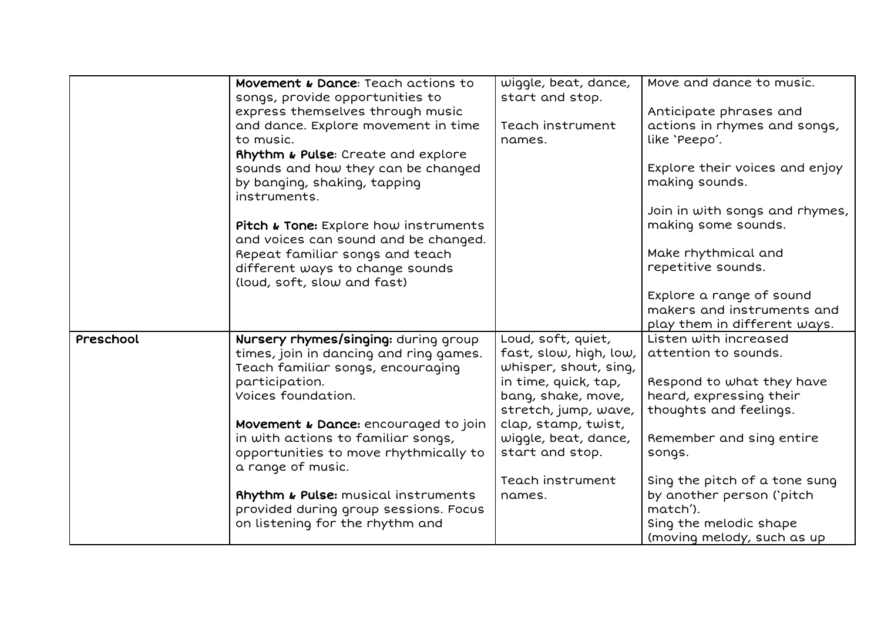|           | Movement & Dance: Teach actions to                         | wiggle, beat, dance,   | Move and dance to music.       |
|-----------|------------------------------------------------------------|------------------------|--------------------------------|
|           | songs, provide opportunities to                            | start and stop.        |                                |
|           | express themselves through music                           |                        | Anticipate phrases and         |
|           | and dance. Explore movement in time                        | Teach instrument       | actions in rhymes and songs,   |
|           | to music.                                                  | names.                 | like 'Peepo'.                  |
|           | Rhythm & Pulse: Create and explore                         |                        |                                |
|           | sounds and how they can be changed                         |                        | Explore their voices and enjoy |
|           | by banging, shaking, tapping<br>instruments.               |                        | making sounds.                 |
|           |                                                            |                        | Join in with songs and rhymes, |
|           | Pitch & Tone: Explore how instruments                      |                        | making some sounds.            |
|           | and voices can sound and be changed.                       |                        |                                |
|           | Repeat familiar songs and teach                            |                        | Make rhythmical and            |
|           | different ways to change sounds                            |                        | repetitive sounds.             |
|           | (loud, soft, slow and fast)                                |                        |                                |
|           |                                                            |                        | Explore a range of sound       |
|           |                                                            |                        | makers and instruments and     |
|           |                                                            |                        | play them in different ways.   |
| Preschool | Nursery rhymes/singing: during group                       | Loud, soft, quiet,     | Listen with increased          |
|           | times, join in dancing and ring games.                     | fast, slow, high, low, | attention to sounds.           |
|           | Teach familiar songs, encouraging                          | whisper, shout, sing,  |                                |
|           | participation.                                             | in time, quick, tap,   | Respond to what they have      |
|           | Voices foundation.                                         | bang, shake, move,     | heard, expressing their        |
|           |                                                            | stretch, jump, wave,   | thoughts and feelings.         |
|           | Movement & Dance: encouraged to join                       | clap, stamp, twist,    |                                |
|           | in with actions to familiar songs,                         | wiggle, beat, dance,   | Remember and sing entire       |
|           | opportunities to move rhythmically to<br>a range of music. | start and stop.        | songs.                         |
|           |                                                            | Teach instrument       | Sing the pitch of a tone sung  |
|           | <b>Rhythm &amp; Pulse:</b> musical instruments             | names.                 | by another person ('pitch      |
|           | provided during group sessions. Focus                      |                        | match').                       |
|           | on listening for the rhythm and                            |                        | Sing the melodic shape         |
|           |                                                            |                        | (moving melody, such as up     |